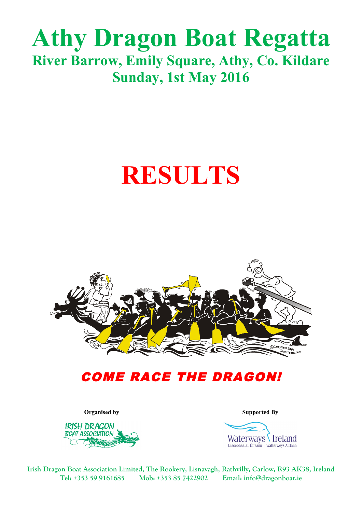## **Athy Dragon Boat Regatta River Barrow, Emily Square, Athy, Co. Kildare Sunday, 1st May 2016**

# **RESULTS**



### COME RACE THE DRAGON!



**Organised by Supported By**



**Irish Dragon Boat Association Limited, The Rookery, Lisnavagh, Rathvilly, Carlow, R93 AK38, Ireland Tel: +353 59 9161685 Mob: +353 85 7422902 Email: info@dragonboat.ie**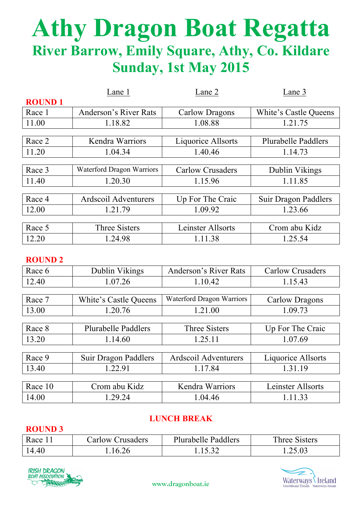## **Athy Dragon Boat Regatta River Barrow, Emily Square, Athy, Co. Kildare Sunday, 1st May 2015**

|               | Lane 1<br>Lane 2                        |                         | Lane 3                     |  |
|---------------|-----------------------------------------|-------------------------|----------------------------|--|
| <b>ROUND1</b> |                                         |                         |                            |  |
| Race 1        | Anderson's River Rats<br>Carlow Dragons |                         | White's Castle Queens      |  |
| 11.00         | 1.08.88<br>1.18.82                      |                         | 1.21.75                    |  |
|               |                                         |                         |                            |  |
| Race 2        | Kendra Warriors                         | Liquorice Allsorts      | <b>Plurabelle Paddlers</b> |  |
| 11.20         | 1.04.34                                 | 1.40.46<br>1.14.73      |                            |  |
|               |                                         |                         |                            |  |
| Race 3        | <b>Waterford Dragon Warriors</b>        | <b>Carlow Crusaders</b> | Dublin Vikings             |  |
| 11.40         | 1.20.30                                 | 1.11.85<br>1.15.96      |                            |  |
|               |                                         |                         |                            |  |
| Race 4        | <b>Ardscoil Adventurers</b>             | Up For The Craic        | Suir Dragon Paddlers       |  |
| 12.00         | 1.21.79                                 | 1.09.92                 | 1.23.66                    |  |
|               |                                         |                         |                            |  |
| Race 5        | <b>Three Sisters</b>                    | Leinster Allsorts       | Crom abu Kidz              |  |
| 12.20         | 1.24.98                                 | 1.11.38                 | 1.25.54                    |  |

#### **ROUND 2**

| Race 6  | Dublin Vikings                | Anderson's River Rats     | <b>Carlow Crusaders</b> |  |
|---------|-------------------------------|---------------------------|-------------------------|--|
| 12.40   | 1.07.26                       | 1.10.42                   | 1.15.43                 |  |
|         |                               |                           |                         |  |
| Race 7  | White's Castle Queens         | Waterford Dragon Warriors | Carlow Dragons          |  |
| 13.00   | 1.21.00<br>1.09.73<br>1.20.76 |                           |                         |  |
|         |                               |                           |                         |  |
| Race 8  | <b>Plurabelle Paddlers</b>    | <b>Three Sisters</b>      | Up For The Craic        |  |
| 13.20   | 1.14.60                       | 1.25.11<br>1.07.69        |                         |  |
|         |                               |                           |                         |  |
| Race 9  | Suir Dragon Paddlers          | Ardscoil Adventurers      | Liquorice Allsorts      |  |
| 13.40   | 1.22.91                       | 1.31.19<br>1.17.84        |                         |  |
|         |                               |                           |                         |  |
| Race 10 | Crom abu Kidz                 | <b>Kendra Warriors</b>    | Leinster Allsorts       |  |
| 14.00   | 1.29.24                       | 1.04.46                   | 1.11.33                 |  |

#### **LUNCH BREAK**

#### **ROUND 3**

| Race 11 | Carlow Crusaders | <b>Plurabelle Paddlers</b> | Three Sisters |
|---------|------------------|----------------------------|---------------|
| 14.40   | 16.26            | 15.32                      | .25.03        |